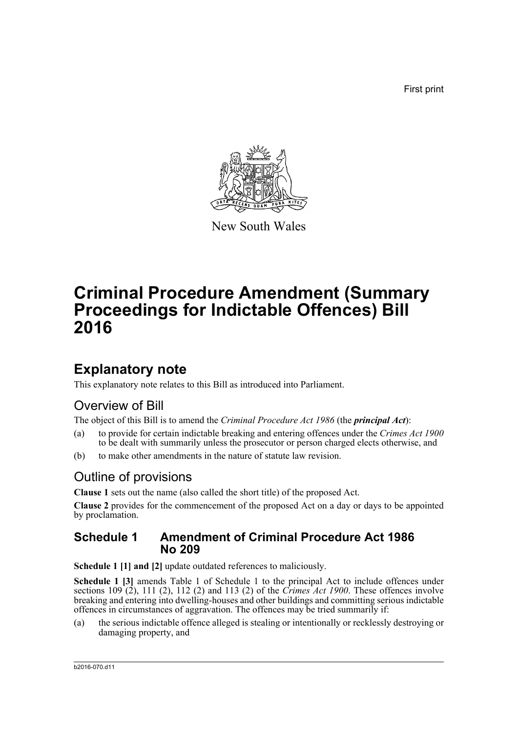First print



New South Wales

# **Criminal Procedure Amendment (Summary Proceedings for Indictable Offences) Bill 2016**

## **Explanatory note**

This explanatory note relates to this Bill as introduced into Parliament.

### Overview of Bill

The object of this Bill is to amend the *Criminal Procedure Act 1986* (the *principal Act*):

- (a) to provide for certain indictable breaking and entering offences under the *Crimes Act 1900* to be dealt with summarily unless the prosecutor or person charged elects otherwise, and
- (b) to make other amendments in the nature of statute law revision.

### Outline of provisions

**Clause 1** sets out the name (also called the short title) of the proposed Act.

**Clause 2** provides for the commencement of the proposed Act on a day or days to be appointed by proclamation.

#### **Schedule 1 Amendment of Criminal Procedure Act 1986 No 209**

**Schedule 1 [1] and [2]** update outdated references to maliciously.

**Schedule 1 [3]** amends Table 1 of Schedule 1 to the principal Act to include offences under sections 109 (2), 111 (2), 112 (2) and 113 (2) of the *Crimes Act 1900*. These offences involve breaking and entering into dwelling-houses and other buildings and committing serious indictable offences in circumstances of aggravation. The offences may be tried summarily if:

(a) the serious indictable offence alleged is stealing or intentionally or recklessly destroying or damaging property, and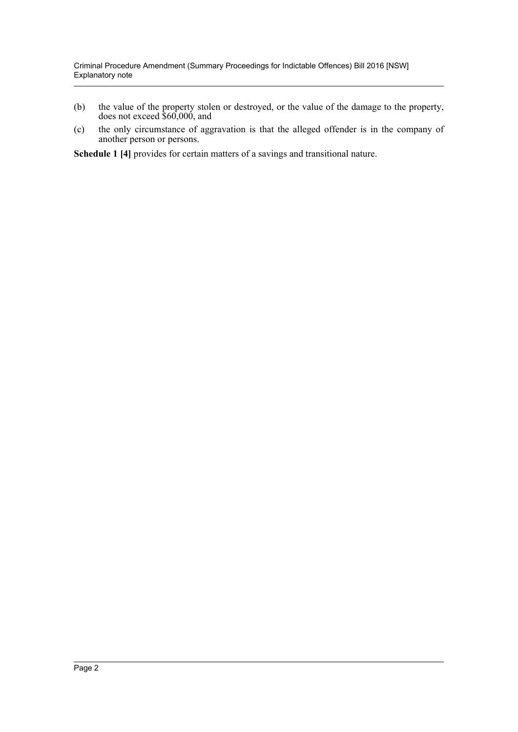- (b) the value of the property stolen or destroyed, or the value of the damage to the property, does not exceed \$60,000, and
- (c) the only circumstance of aggravation is that the alleged offender is in the company of another person or persons.

**Schedule 1 [4]** provides for certain matters of a savings and transitional nature.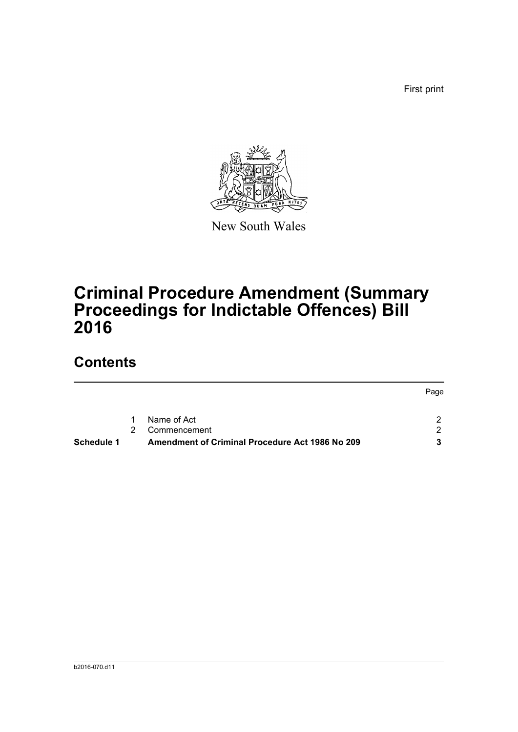First print



New South Wales

# **Criminal Procedure Amendment (Summary Proceedings for Indictable Offences) Bill 2016**

## **Contents**

| Schedule 1 |               | Amendment of Criminal Procedure Act 1986 No 209 |      |
|------------|---------------|-------------------------------------------------|------|
|            | $\mathcal{P}$ | Commencement                                    | - 2  |
|            |               | 1 Name of Act                                   |      |
|            |               |                                                 | Page |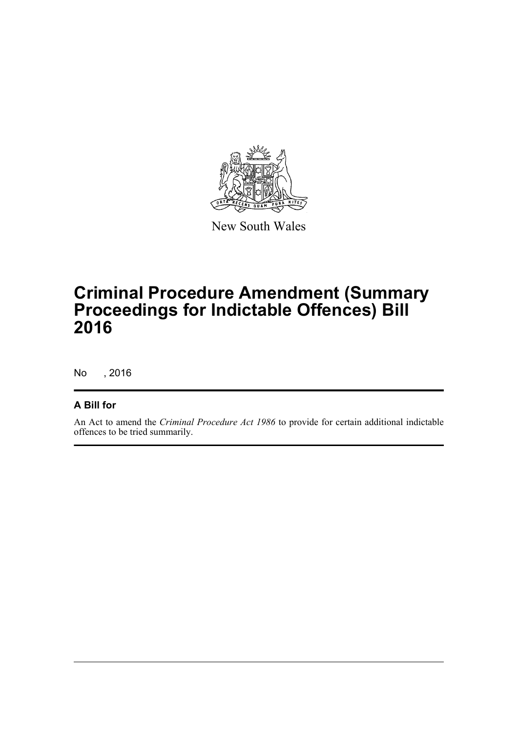

New South Wales

# **Criminal Procedure Amendment (Summary Proceedings for Indictable Offences) Bill 2016**

No , 2016

#### **A Bill for**

An Act to amend the *Criminal Procedure Act 1986* to provide for certain additional indictable offences to be tried summarily.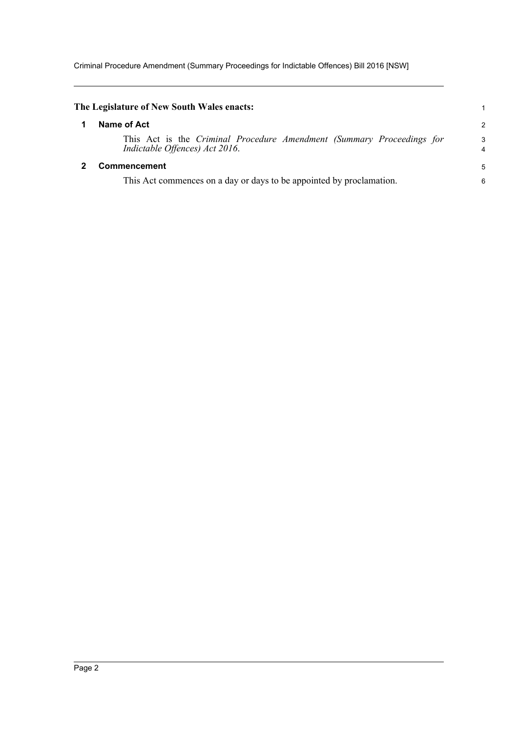Criminal Procedure Amendment (Summary Proceedings for Indictable Offences) Bill 2016 [NSW]

<span id="page-4-1"></span><span id="page-4-0"></span>

| The Legislature of New South Wales enacts:                                                              |        |  |
|---------------------------------------------------------------------------------------------------------|--------|--|
| Name of Act                                                                                             | 2      |  |
| This Act is the Criminal Procedure Amendment (Summary Proceedings for<br>Indictable Offences) Act 2016. | 3<br>4 |  |
| Commencement                                                                                            | 5      |  |
| This Act commences on a day or days to be appointed by proclamation.                                    |        |  |
|                                                                                                         |        |  |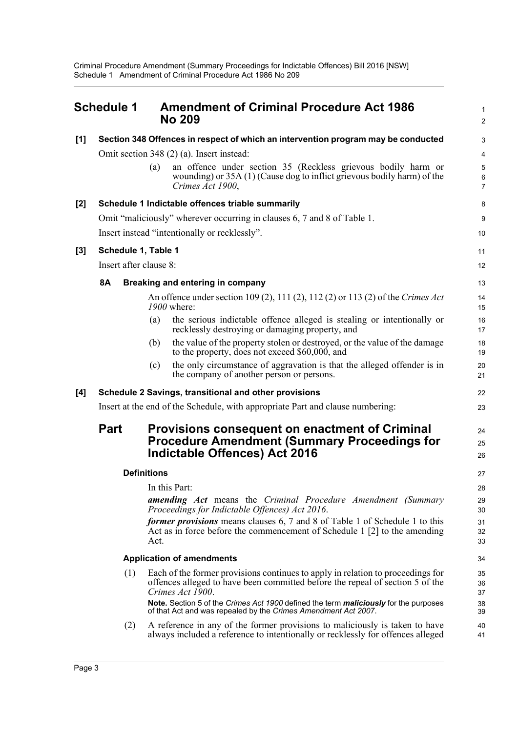Criminal Procedure Amendment (Summary Proceedings for Indictable Offences) Bill 2016 [NSW] Schedule 1 Amendment of Criminal Procedure Act 1986 No 209

<span id="page-5-0"></span>

|                                                                                                                                                                     | <b>Schedule 1</b>                                                                 |                                           | <b>Amendment of Criminal Procedure Act 1986</b><br><b>No 209</b>                                                                                                                     | 1<br>$\overline{2}$      |  |  |  |
|---------------------------------------------------------------------------------------------------------------------------------------------------------------------|-----------------------------------------------------------------------------------|-------------------------------------------|--------------------------------------------------------------------------------------------------------------------------------------------------------------------------------------|--------------------------|--|--|--|
| [1]                                                                                                                                                                 | Section 348 Offences in respect of which an intervention program may be conducted |                                           |                                                                                                                                                                                      |                          |  |  |  |
|                                                                                                                                                                     |                                                                                   | Omit section 348 (2) (a). Insert instead: | $\overline{\mathbf{4}}$                                                                                                                                                              |                          |  |  |  |
|                                                                                                                                                                     |                                                                                   | (a)                                       | an offence under section 35 (Reckless grievous bodily harm or<br>wounding) or 35A (1) (Cause dog to inflict grievous bodily harm) of the<br>Crimes Act 1900,                         | 5<br>6<br>$\overline{7}$ |  |  |  |
| $[2]$                                                                                                                                                               |                                                                                   |                                           | Schedule 1 Indictable offences triable summarily                                                                                                                                     | 8                        |  |  |  |
|                                                                                                                                                                     | Omit "maliciously" wherever occurring in clauses 6, 7 and 8 of Table 1.           |                                           |                                                                                                                                                                                      |                          |  |  |  |
|                                                                                                                                                                     | Insert instead "intentionally or recklessly".                                     |                                           |                                                                                                                                                                                      |                          |  |  |  |
| $[3]$                                                                                                                                                               | Schedule 1, Table 1                                                               |                                           |                                                                                                                                                                                      |                          |  |  |  |
|                                                                                                                                                                     | Insert after clause 8:                                                            |                                           |                                                                                                                                                                                      |                          |  |  |  |
|                                                                                                                                                                     | <b>8A</b>                                                                         |                                           | Breaking and entering in company                                                                                                                                                     | 13                       |  |  |  |
|                                                                                                                                                                     |                                                                                   |                                           | An offence under section 109 (2), 111 (2), 112 (2) or 113 (2) of the Crimes Act<br>1900 where:                                                                                       | 14<br>15                 |  |  |  |
|                                                                                                                                                                     |                                                                                   | (a)                                       | the serious indictable offence alleged is stealing or intentionally or<br>recklessly destroying or damaging property, and                                                            | 16<br>17                 |  |  |  |
|                                                                                                                                                                     |                                                                                   | (b)                                       | the value of the property stolen or destroyed, or the value of the damage<br>to the property, does not exceed \$60,000, and                                                          | 18<br>19                 |  |  |  |
|                                                                                                                                                                     |                                                                                   | (c)                                       | the only circumstance of aggravation is that the alleged offender is in<br>the company of another person or persons.                                                                 | 20<br>21                 |  |  |  |
| [4]                                                                                                                                                                 |                                                                                   |                                           | Schedule 2 Savings, transitional and other provisions                                                                                                                                | 22                       |  |  |  |
|                                                                                                                                                                     |                                                                                   |                                           | Insert at the end of the Schedule, with appropriate Part and clause numbering:                                                                                                       | 23                       |  |  |  |
| <b>Part</b><br><b>Provisions consequent on enactment of Criminal</b><br><b>Procedure Amendment (Summary Proceedings for</b><br><b>Indictable Offences) Act 2016</b> |                                                                                   |                                           |                                                                                                                                                                                      | 24<br>25<br>26           |  |  |  |
|                                                                                                                                                                     | <b>Definitions</b>                                                                |                                           |                                                                                                                                                                                      |                          |  |  |  |
|                                                                                                                                                                     |                                                                                   |                                           | In this Part:                                                                                                                                                                        | 28                       |  |  |  |
|                                                                                                                                                                     |                                                                                   |                                           | <b>amending Act</b> means the Criminal Procedure Amendment (Summary<br>Proceedings for Indictable Offences) Act 2016.                                                                | 29<br>30                 |  |  |  |
|                                                                                                                                                                     |                                                                                   | Act.                                      | <i>former provisions</i> means clauses 6, 7 and 8 of Table 1 of Schedule 1 to this<br>Act as in force before the commencement of Schedule 1 [2] to the amending                      | 31<br>32<br>33           |  |  |  |
| <b>Application of amendments</b>                                                                                                                                    |                                                                                   |                                           |                                                                                                                                                                                      |                          |  |  |  |
|                                                                                                                                                                     | (1)                                                                               |                                           | Each of the former provisions continues to apply in relation to proceedings for<br>offences alleged to have been committed before the repeal of section 5 of the<br>Crimes Act 1900. | 35<br>36<br>37           |  |  |  |
|                                                                                                                                                                     |                                                                                   |                                           | Note. Section 5 of the Crimes Act 1900 defined the term maliciously for the purposes<br>of that Act and was repealed by the Crimes Amendment Act 2007.                               | 38<br>39                 |  |  |  |
|                                                                                                                                                                     | (2)                                                                               |                                           | A reference in any of the former provisions to maliciously is taken to have<br>always included a reference to intentionally or recklessly for offences alleged                       | 40<br>41                 |  |  |  |